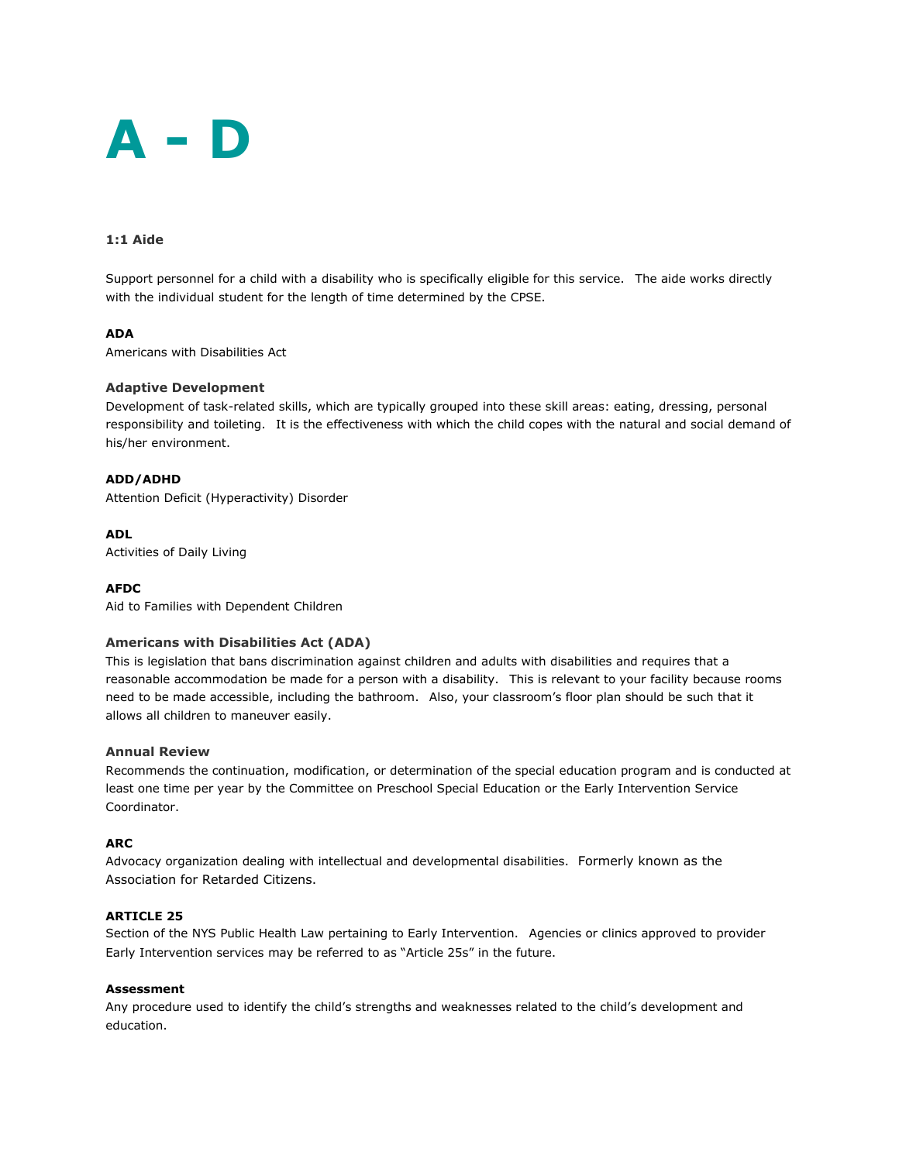# **A - D**

# **1:1 Aide**

Support personnel for a child with a disability who is specifically eligible for this service. The aide works directly with the individual student for the length of time determined by the CPSE.

#### **ADA**

Americans with Disabilities Act

#### **Adaptive Development**

Development of task-related skills, which are typically grouped into these skill areas: eating, dressing, personal responsibility and toileting. It is the effectiveness with which the child copes with the natural and social demand of his/her environment.

#### **ADD/ADHD**

Attention Deficit (Hyperactivity) Disorder

#### **ADL**

Activities of Daily Living

## **AFDC**

Aid to Families with Dependent Children

#### **Americans with Disabilities Act (ADA)**

This is legislation that bans discrimination against children and adults with disabilities and requires that a reasonable accommodation be made for a person with a disability. This is relevant to your facility because rooms need to be made accessible, including the bathroom. Also, your classroom's floor plan should be such that it allows all children to maneuver easily.

#### **Annual Review**

Recommends the continuation, modification, or determination of the special education program and is conducted at least one time per year by the Committee on Preschool Special Education or the Early Intervention Service Coordinator.

#### **ARC**

Advocacy organization dealing with intellectual and developmental disabilities. Formerly known as the Association for Retarded Citizens.

#### **ARTICLE 25**

Section of the NYS Public Health Law pertaining to Early Intervention. Agencies or clinics approved to provider Early Intervention services may be referred to as "Article 25s" in the future.

#### **Assessment**

Any procedure used to identify the child's strengths and weaknesses related to the child's development and education.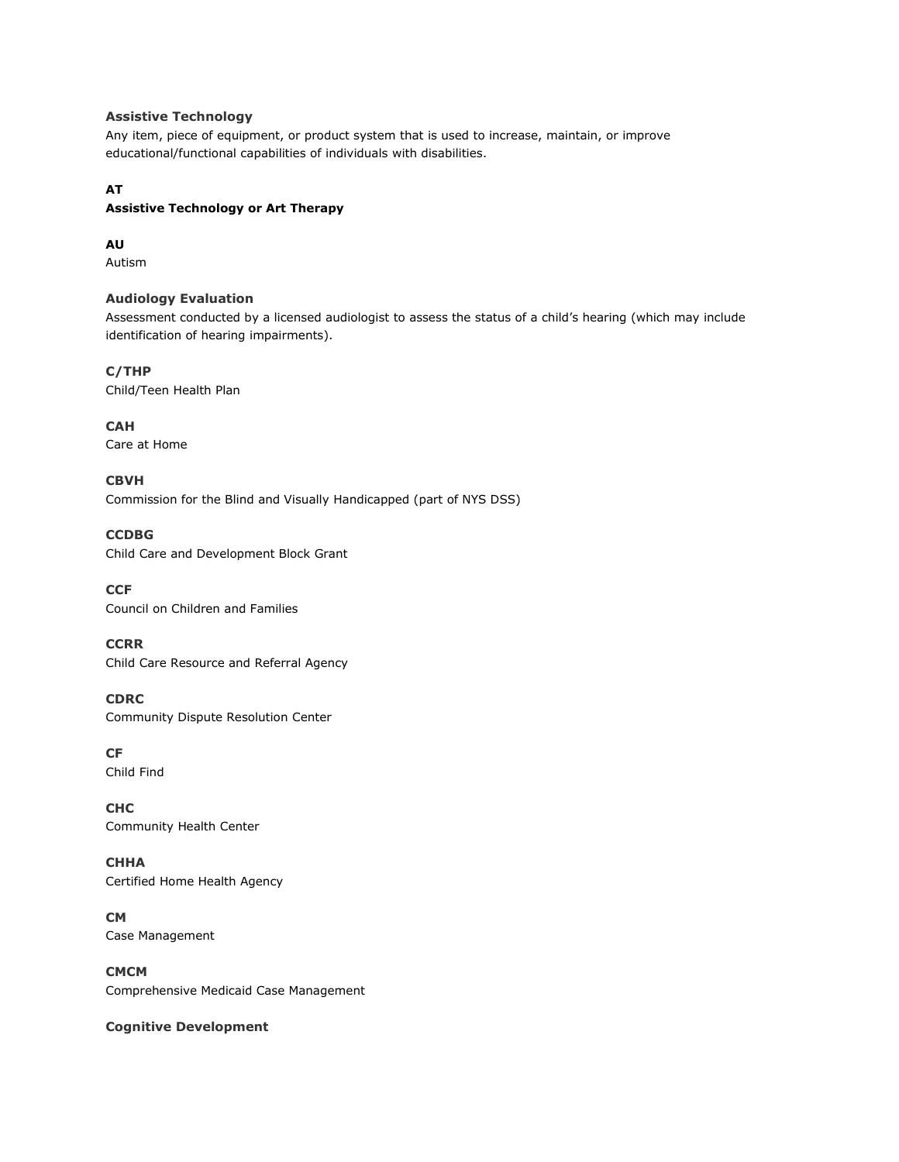# **Assistive Technology**

Any item, piece of equipment, or product system that is used to increase, maintain, or improve educational/functional capabilities of individuals with disabilities.

# **AT Assistive Technology or Art Therapy**

# **AU**

Autism

# **Audiology Evaluation**

Assessment conducted by a licensed audiologist to assess the status of a child's hearing (which may include identification of hearing impairments).

**C/THP** Child/Teen Health Plan

**CAH** Care at Home

**CBVH** Commission for the Blind and Visually Handicapped (part of NYS DSS)

**CCDBG** Child Care and Development Block Grant

**CCF** Council on Children and Families

**CCRR** Child Care Resource and Referral Agency

**CDRC** Community Dispute Resolution Center

**CF** Child Find

**CHC** Community Health Center

**CHHA** Certified Home Health Agency

**CM** Case Management

**CMCM** Comprehensive Medicaid Case Management

**Cognitive Development**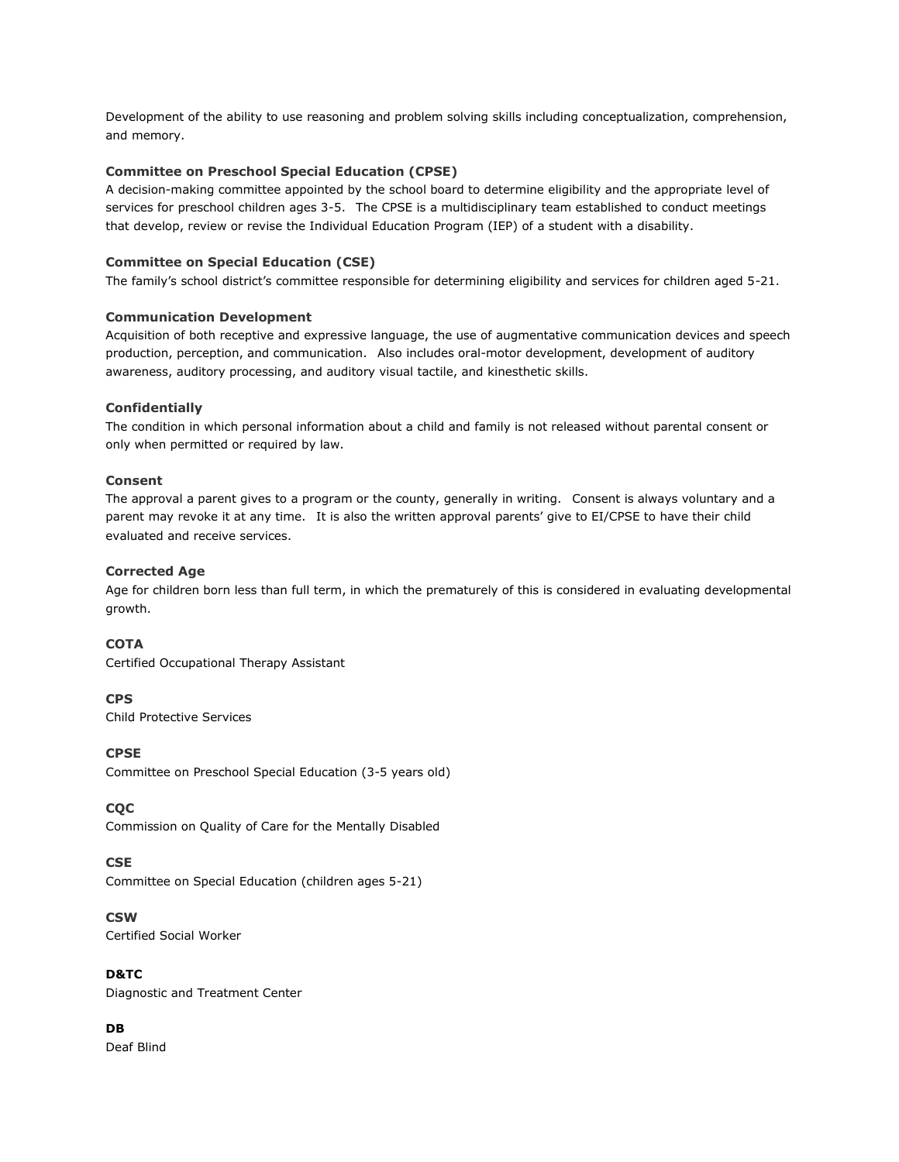Development of the ability to use reasoning and problem solving skills including conceptualization, comprehension, and memory.

## **Committee on Preschool Special Education (CPSE)**

A decision-making committee appointed by the school board to determine eligibility and the appropriate level of services for preschool children ages 3-5. The CPSE is a multidisciplinary team established to conduct meetings that develop, review or revise the Individual Education Program (IEP) of a student with a disability.

#### **Committee on Special Education (CSE)**

The family's school district's committee responsible for determining eligibility and services for children aged 5-21.

#### **Communication Development**

Acquisition of both receptive and expressive language, the use of augmentative communication devices and speech production, perception, and communication. Also includes oral-motor development, development of auditory awareness, auditory processing, and auditory visual tactile, and kinesthetic skills.

#### **Confidentially**

The condition in which personal information about a child and family is not released without parental consent or only when permitted or required by law.

#### **Consent**

The approval a parent gives to a program or the county, generally in writing. Consent is always voluntary and a parent may revoke it at any time. It is also the written approval parents' give to EI/CPSE to have their child evaluated and receive services.

#### **Corrected Age**

Age for children born less than full term, in which the prematurely of this is considered in evaluating developmental growth.

# **COTA**

Certified Occupational Therapy Assistant

#### **CPS**

Child Protective Services

#### **CPSE**

Committee on Preschool Special Education (3-5 years old)

#### **CQC**

Commission on Quality of Care for the Mentally Disabled

#### **CSE**

Committee on Special Education (children ages 5-21)

# **CSW** Certified Social Worker

**D&TC** Diagnostic and Treatment Center

# **DB**

Deaf Blind